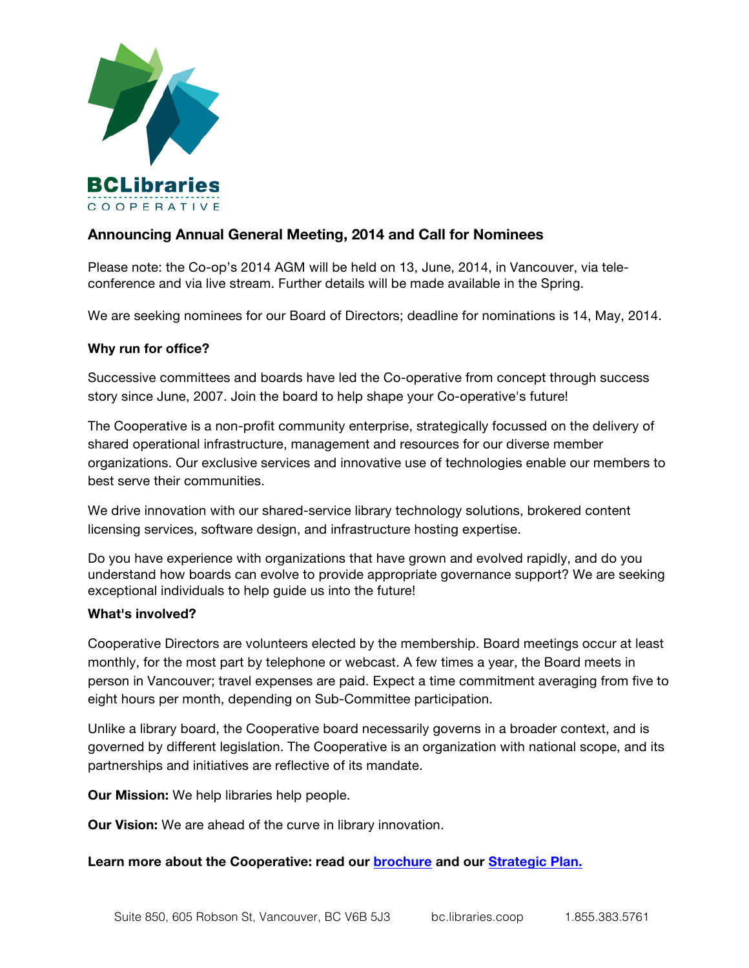

# **Announcing Annual General Meeting, 2014 and Call for Nominees**

Please note: the Co-op's 2014 AGM will be held on 13, June, 2014, in Vancouver, via teleconference and via live stream. Further details will be made available in the Spring.

We are seeking nominees for our Board of Directors; deadline for nominations is 14, May, 2014.

### **Why run for office?**

Successive committees and boards have led the Co-operative from concept through success story since June, 2007. Join the board to help shape your Co-operative's future!

The Cooperative is a non-profit community enterprise, strategically focussed on the delivery of shared operational infrastructure, management and resources for our diverse member organizations. Our exclusive services and innovative use of technologies enable our members to best serve their communities.

We drive innovation with our shared-service library technology solutions, brokered content licensing services, software design, and infrastructure hosting expertise.

Do you have experience with organizations that have grown and evolved rapidly, and do you understand how boards can evolve to provide appropriate governance support? We are seeking exceptional individuals to help guide us into the future!

#### **What's involved?**

Cooperative Directors are volunteers elected by the membership. Board meetings occur at least monthly, for the most part by telephone or webcast. A few times a year, the Board meets in person in Vancouver; travel expenses are paid. Expect a time commitment averaging from five to eight hours per month, depending on Sub-Committee participation.

Unlike a library board, the Cooperative board necessarily governs in a broader context, and is governed by different legislation. The Cooperative is an organization with national scope, and its partnerships and initiatives are reflective of its mandate.

**Our Mission:** We help libraries help people.

**Our Vision:** We are ahead of the curve in library innovation.

#### **Learn more about the Cooperative: read our [brochure](https://bc.libraries.coop/wp-content/uploads/2012/04/Coop_5x4_brochure_web2.pdf) and our [Strategic Plan.](http://bc.libraries.coop/wp-content/uploads/2012/04/StrategicPlan2013-05-31.pdf)**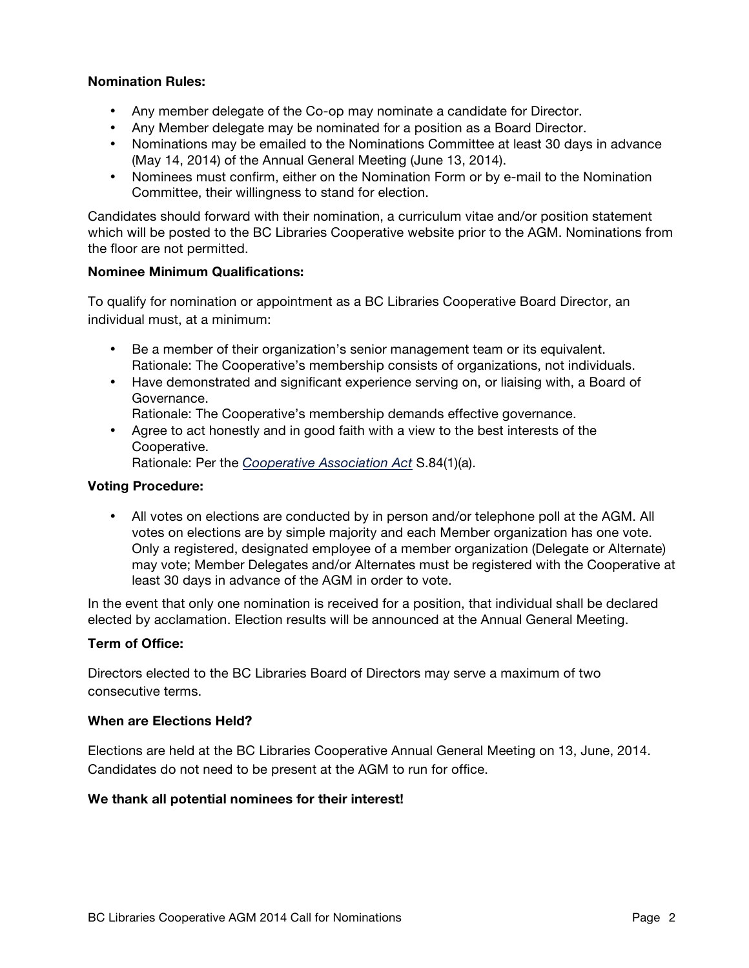## **Nomination Rules:**

- Any member delegate of the Co-op may nominate a candidate for Director.
- Any Member delegate may be nominated for a position as a Board Director.
- Nominations may be emailed to the Nominations Committee at least 30 days in advance (May 14, 2014) of the Annual General Meeting (June 13, 2014).
- Nominees must confirm, either on the Nomination Form or by e-mail to the Nomination Committee, their willingness to stand for election.

Candidates should forward with their nomination, a curriculum vitae and/or position statement which will be posted to the BC Libraries Cooperative website prior to the AGM. Nominations from the floor are not permitted.

#### **Nominee Minimum Qualifications:**

To qualify for nomination or appointment as a BC Libraries Cooperative Board Director, an individual must, at a minimum:

- Be a member of their organization's senior management team or its equivalent. Rationale: The Cooperative's membership consists of organizations, not individuals.
- Have demonstrated and significant experience serving on, or liaising with, a Board of Governance.

Rationale: The Cooperative's membership demands effective governance.

• Agree to act honestly and in good faith with a view to the best interests of the Cooperative.

Rationale: Per the *[Cooperative Association Act](http://www.bclaws.ca/civix/document/id/complete/statreg/99028_01)* S.84(1)(a).

#### **Voting Procedure:**

• All votes on elections are conducted by in person and/or telephone poll at the AGM. All votes on elections are by simple majority and each Member organization has one vote. Only a registered, designated employee of a member organization (Delegate or Alternate) may vote; Member Delegates and/or Alternates must be registered with the Cooperative at least 30 days in advance of the AGM in order to vote.

In the event that only one nomination is received for a position, that individual shall be declared elected by acclamation. Election results will be announced at the Annual General Meeting.

#### **Term of Office:**

Directors elected to the BC Libraries Board of Directors may serve a maximum of two consecutive terms.

#### **When are Elections Held?**

Elections are held at the BC Libraries Cooperative Annual General Meeting on 13, June, 2014. Candidates do not need to be present at the AGM to run for office.

#### **We thank all potential nominees for their interest!**